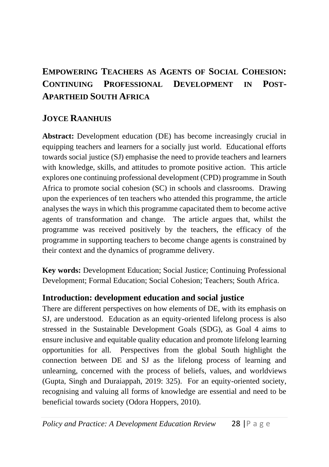# **EMPOWERING TEACHERS AS AGENTS OF SOCIAL COHESION: CONTINUING PROFESSIONAL DEVELOPMENT IN POST-APARTHEID SOUTH AFRICA**

## **JOYCE RAANHUIS**

**Abstract:** Development education (DE) has become increasingly crucial in equipping teachers and learners for a socially just world. Educational efforts towards social justice (SJ) emphasise the need to provide teachers and learners with knowledge, skills, and attitudes to promote positive action. This article explores one continuing professional development (CPD) programme in South Africa to promote social cohesion (SC) in schools and classrooms. Drawing upon the experiences of ten teachers who attended this programme, the article analyses the ways in which this programme capacitated them to become active agents of transformation and change. The article argues that, whilst the programme was received positively by the teachers, the efficacy of the programme in supporting teachers to become change agents is constrained by their context and the dynamics of programme delivery.

**Key words:** Development Education; Social Justice; Continuing Professional Development; Formal Education; Social Cohesion; Teachers; South Africa.

### **Introduction: development education and social justice**

There are different perspectives on how elements of DE, with its emphasis on SJ, are understood. Education as an equity-oriented lifelong process is also stressed in the Sustainable Development Goals (SDG), as Goal 4 aims to ensure inclusive and equitable quality education and promote lifelong learning opportunities for all. Perspectives from the global South highlight the connection between DE and SJ as the lifelong process of learning and unlearning, concerned with the process of beliefs, values, and worldviews (Gupta, Singh and Duraiappah, 2019: 325). For an equity-oriented society, recognising and valuing all forms of knowledge are essential and need to be beneficial towards society (Odora Hoppers, 2010).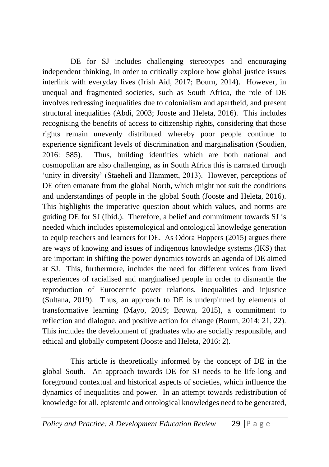DE for SJ includes challenging stereotypes and encouraging independent thinking, in order to critically explore how global justice issues interlink with everyday lives (Irish Aid, 2017; Bourn, 2014). However, in unequal and fragmented societies, such as South Africa, the role of DE involves redressing inequalities due to colonialism and apartheid, and present structural inequalities (Abdi, 2003; Jooste and Heleta, 2016). This includes recognising the benefits of access to citizenship rights, considering that those rights remain unevenly distributed whereby poor people continue to experience significant levels of discrimination and marginalisation (Soudien, 2016: 585). Thus, building identities which are both national and cosmopolitan are also challenging, as in South Africa this is narrated through 'unity in diversity' (Staeheli and Hammett, 2013). However, perceptions of DE often emanate from the global North, which might not suit the conditions and understandings of people in the global South (Jooste and Heleta, 2016). This highlights the imperative question about which values, and norms are guiding DE for SJ (Ibid.). Therefore, a belief and commitment towards SJ is needed which includes epistemological and ontological knowledge generation to equip teachers and learners for DE. As Odora Hoppers (2015) argues there are ways of knowing and issues of indigenous knowledge systems (IKS) that are important in shifting the power dynamics towards an agenda of DE aimed at SJ. This, furthermore, includes the need for different voices from lived experiences of racialised and marginalised people in order to dismantle the reproduction of Eurocentric power relations, inequalities and injustice (Sultana, 2019). Thus, an approach to DE is underpinned by elements of transformative learning (Mayo, 2019; Brown, 2015), a commitment to reflection and dialogue, and positive action for change (Bourn, 2014: 21, 22). This includes the development of graduates who are socially responsible, and ethical and globally competent (Jooste and Heleta, 2016: 2).

This article is theoretically informed by the concept of DE in the global South. An approach towards DE for SJ needs to be life-long and foreground contextual and historical aspects of societies, which influence the dynamics of inequalities and power. In an attempt towards redistribution of knowledge for all, epistemic and ontological knowledges need to be generated,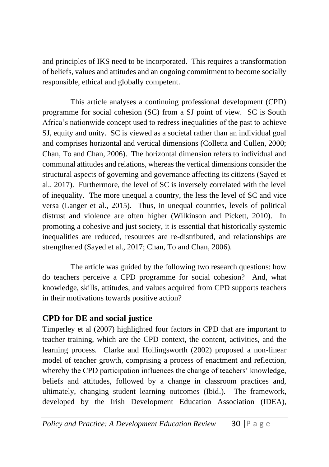and principles of IKS need to be incorporated. This requires a transformation of beliefs, values and attitudes and an ongoing commitment to become socially responsible, ethical and globally competent.

This article analyses a continuing professional development (CPD) programme for social cohesion (SC) from a SJ point of view. SC is South Africa's nationwide concept used to redress inequalities of the past to achieve SJ, equity and unity. SC is viewed as a societal rather than an individual goal and comprises horizontal and vertical dimensions (Colletta and Cullen, 2000; Chan, To and Chan, 2006). The horizontal dimension refers to individual and communal attitudes and relations, whereas the vertical dimensions consider the structural aspects of governing and governance affecting its citizens (Sayed et al., 2017). Furthermore, the level of SC is inversely correlated with the level of inequality. The more unequal a country, the less the level of SC and vice versa (Langer et al., 2015). Thus, in unequal countries, levels of political distrust and violence are often higher (Wilkinson and Pickett, 2010). In promoting a cohesive and just society, it is essential that historically systemic inequalities are reduced, resources are re-distributed, and relationships are strengthened (Sayed et al., 2017; Chan, To and Chan, 2006).

The article was guided by the following two research questions: how do teachers perceive a CPD programme for social cohesion? And, what knowledge, skills, attitudes, and values acquired from CPD supports teachers in their motivations towards positive action?

### **CPD for DE and social justice**

Timperley et al (2007) highlighted four factors in CPD that are important to teacher training, which are the CPD context, the content, activities, and the learning process. Clarke and Hollingsworth (2002) proposed a non-linear model of teacher growth, comprising a process of enactment and reflection, whereby the CPD participation influences the change of teachers' knowledge, beliefs and attitudes, followed by a change in classroom practices and, ultimately, changing student learning outcomes (Ibid.). The framework, developed by the Irish Development Education Association (IDEA),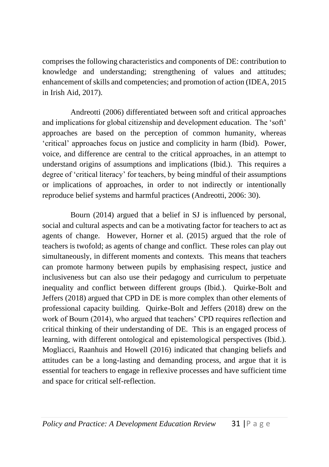comprises the following characteristics and components of DE: contribution to knowledge and understanding; strengthening of values and attitudes; enhancement of skills and competencies; and promotion of action (IDEA, 2015 in Irish Aid, 2017).

Andreotti (2006) differentiated between soft and critical approaches and implications for global citizenship and development education. The 'soft' approaches are based on the perception of common humanity, whereas 'critical' approaches focus on justice and complicity in harm (Ibid). Power, voice, and difference are central to the critical approaches, in an attempt to understand origins of assumptions and implications (Ibid.). This requires a degree of 'critical literacy' for teachers, by being mindful of their assumptions or implications of approaches, in order to not indirectly or intentionally reproduce belief systems and harmful practices (Andreotti, 2006: 30).

Bourn (2014) argued that a belief in SJ is influenced by personal, social and cultural aspects and can be a motivating factor for teachers to act as agents of change. However, Horner et al. (2015) argued that the role of teachers is twofold; as agents of change and conflict. These roles can play out simultaneously, in different moments and contexts. This means that teachers can promote harmony between pupils by emphasising respect, justice and inclusiveness but can also use their pedagogy and curriculum to perpetuate inequality and conflict between different groups (Ibid.). Quirke-Bolt and Jeffers (2018) argued that CPD in DE is more complex than other elements of professional capacity building. Quirke-Bolt and Jeffers (2018) drew on the work of Bourn (2014), who argued that teachers' CPD requires reflection and critical thinking of their understanding of DE. This is an engaged process of learning, with different ontological and epistemological perspectives (Ibid.). Mogliacci, Raanhuis and Howell (2016) indicated that changing beliefs and attitudes can be a long-lasting and demanding process, and argue that it is essential for teachers to engage in reflexive processes and have sufficient time and space for critical self-reflection.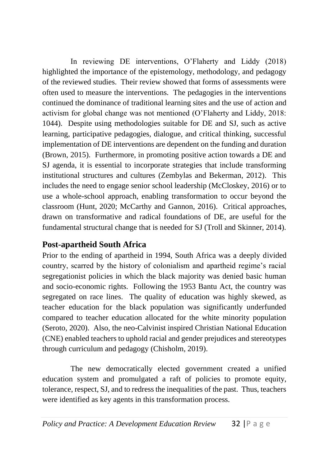In reviewing DE interventions, O'Flaherty and Liddy (2018) highlighted the importance of the epistemology, methodology, and pedagogy of the reviewed studies. Their review showed that forms of assessments were often used to measure the interventions. The pedagogies in the interventions continued the dominance of traditional learning sites and the use of action and activism for global change was not mentioned (O'Flaherty and Liddy, 2018: 1044). Despite using methodologies suitable for DE and SJ, such as active learning, participative pedagogies, dialogue, and critical thinking, successful implementation of DE interventions are dependent on the funding and duration (Brown, 2015). Furthermore, in promoting positive action towards a DE and SJ agenda, it is essential to incorporate strategies that include transforming institutional structures and cultures (Zembylas and Bekerman, 2012). This includes the need to engage senior school leadership (McCloskey, 2016) or to use a whole-school approach, enabling transformation to occur beyond the classroom (Hunt, 2020; McCarthy and Gannon, 2016). Critical approaches, drawn on transformative and radical foundations of DE, are useful for the fundamental structural change that is needed for SJ (Troll and Skinner, 2014).

# **Post-apartheid South Africa**

Prior to the ending of apartheid in 1994, South Africa was a deeply divided country, scarred by the history of colonialism and apartheid regime's racial segregationist policies in which the black majority was denied basic human and socio-economic rights. Following the 1953 Bantu Act, the country was segregated on race lines. The quality of education was highly skewed, as teacher education for the black population was significantly underfunded compared to teacher education allocated for the white minority population (Seroto, 2020). Also, the neo-Calvinist inspired Christian National Education (CNE) enabled teachers to uphold racial and gender prejudices and stereotypes through curriculum and pedagogy (Chisholm, 2019).

The new democratically elected government created a unified education system and promulgated a raft of policies to promote equity, tolerance, respect, SJ, and to redress the inequalities of the past. Thus, teachers were identified as key agents in this transformation process.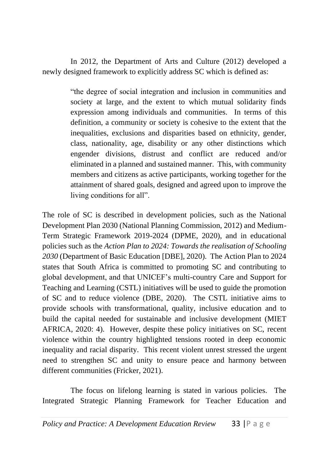In 2012, the Department of Arts and Culture (2012) developed a newly designed framework to explicitly address SC which is defined as:

> "the degree of social integration and inclusion in communities and society at large, and the extent to which mutual solidarity finds expression among individuals and communities. In terms of this definition, a community or society is cohesive to the extent that the inequalities, exclusions and disparities based on ethnicity, gender, class, nationality, age, disability or any other distinctions which engender divisions, distrust and conflict are reduced and/or eliminated in a planned and sustained manner. This, with community members and citizens as active participants, working together for the attainment of shared goals, designed and agreed upon to improve the living conditions for all".

The role of SC is described in development policies, such as the National Development Plan 2030 (National Planning Commission, 2012) and Medium-Term Strategic Framework 2019-2024 (DPME, 2020), and in educational policies such as the *Action Plan to 2024: Towards the realisation of Schooling 2030* (Department of Basic Education [DBE], 2020). The Action Plan to 2024 states that South Africa is committed to promoting SC and contributing to global development, and that UNICEF's multi-country Care and Support for Teaching and Learning (CSTL) initiatives will be used to guide the promotion of SC and to reduce violence (DBE, 2020). The CSTL initiative aims to provide schools with transformational, quality, inclusive education and to build the capital needed for sustainable and inclusive development (MIET AFRICA, 2020: 4). However, despite these policy initiatives on SC, recent violence within the country highlighted tensions rooted in deep economic inequality and racial disparity. This recent violent unrest stressed the urgent need to strengthen SC and unity to ensure peace and harmony between different communities (Fricker, 2021).

The focus on lifelong learning is stated in various policies. The Integrated Strategic Planning Framework for Teacher Education and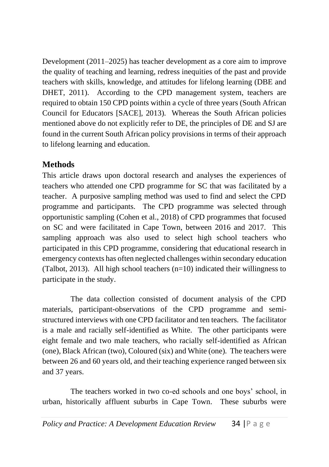Development (2011–2025) has teacher development as a core aim to improve the quality of teaching and learning, redress inequities of the past and provide teachers with skills, knowledge, and attitudes for lifelong learning (DBE and DHET, 2011). According to the CPD management system, teachers are required to obtain 150 CPD points within a cycle of three years (South African Council for Educators [SACE], 2013). Whereas the South African policies mentioned above do not explicitly refer to DE, the principles of DE and SJ are found in the current South African policy provisions in terms of their approach to lifelong learning and education.

# **Methods**

This article draws upon doctoral research and analyses the experiences of teachers who attended one CPD programme for SC that was facilitated by a teacher. A purposive sampling method was used to find and select the CPD programme and participants. The CPD programme was selected through opportunistic sampling (Cohen et al., 2018) of CPD programmes that focused on SC and were facilitated in Cape Town, between 2016 and 2017. This sampling approach was also used to select high school teachers who participated in this CPD programme, considering that educational research in emergency contexts has often neglected challenges within secondary education (Talbot, 2013). All high school teachers  $(n=10)$  indicated their willingness to participate in the study.

The data collection consisted of document analysis of the CPD materials, participant-observations of the CPD programme and semistructured interviews with one CPD facilitator and ten teachers. The facilitator is a male and racially self-identified as White. The other participants were eight female and two male teachers, who racially self-identified as African (one), Black African (two), Coloured (six) and White (one). The teachers were between 26 and 60 years old, and their teaching experience ranged between six and 37 years.

The teachers worked in two co-ed schools and one boys' school, in urban, historically affluent suburbs in Cape Town. These suburbs were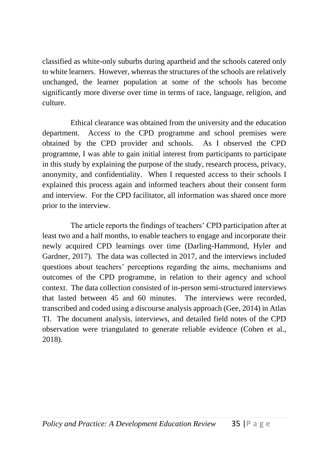classified as white-only suburbs during apartheid and the schools catered only to white learners. However, whereas the structures of the schools are relatively unchanged, the learner population at some of the schools has become significantly more diverse over time in terms of race, language, religion, and culture.

Ethical clearance was obtained from the university and the education department. Access to the CPD programme and school premises were obtained by the CPD provider and schools. As I observed the CPD programme, I was able to gain initial interest from participants to participate in this study by explaining the purpose of the study, research process, privacy, anonymity, and confidentiality. When I requested access to their schools I explained this process again and informed teachers about their consent form and interview. For the CPD facilitator, all information was shared once more prior to the interview.

The article reports the findings of teachers' CPD participation after at least two and a half months, to enable teachers to engage and incorporate their newly acquired CPD learnings over time (Darling-Hammond, Hyler and Gardner, 2017). The data was collected in 2017, and the interviews included questions about teachers' perceptions regarding the aims, mechanisms and outcomes of the CPD programme, in relation to their agency and school context. The data collection consisted of in-person semi-structured interviews that lasted between 45 and 60 minutes. The interviews were recorded, transcribed and coded using a discourse analysis approach (Gee, 2014) in Atlas TI. The document analysis, interviews, and detailed field notes of the CPD observation were triangulated to generate reliable evidence (Cohen et al., 2018).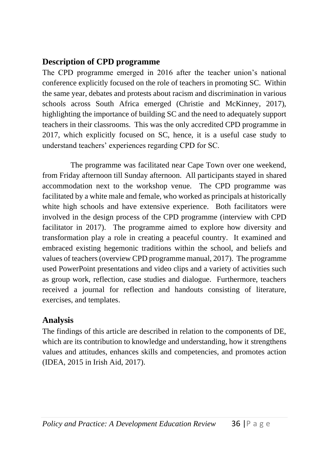### **Description of CPD programme**

The CPD programme emerged in 2016 after the teacher union's national conference explicitly focused on the role of teachers in promoting SC. Within the same year, debates and protests about racism and discrimination in various schools across South Africa emerged (Christie and McKinney, 2017), highlighting the importance of building SC and the need to adequately support teachers in their classrooms. This was the only accredited CPD programme in 2017, which explicitly focused on SC, hence, it is a useful case study to understand teachers' experiences regarding CPD for SC.

The programme was facilitated near Cape Town over one weekend, from Friday afternoon till Sunday afternoon. All participants stayed in shared accommodation next to the workshop venue. The CPD programme was facilitated by a white male and female, who worked as principals at historically white high schools and have extensive experience. Both facilitators were involved in the design process of the CPD programme (interview with CPD facilitator in 2017). The programme aimed to explore how diversity and transformation play a role in creating a peaceful country. It examined and embraced existing hegemonic traditions within the school, and beliefs and values of teachers (overview CPD programme manual, 2017). The programme used PowerPoint presentations and video clips and a variety of activities such as group work, reflection, case studies and dialogue. Furthermore, teachers received a journal for reflection and handouts consisting of literature, exercises, and templates.

### **Analysis**

The findings of this article are described in relation to the components of DE, which are its contribution to knowledge and understanding, how it strengthens values and attitudes, enhances skills and competencies, and promotes action (IDEA, 2015 in Irish Aid, 2017).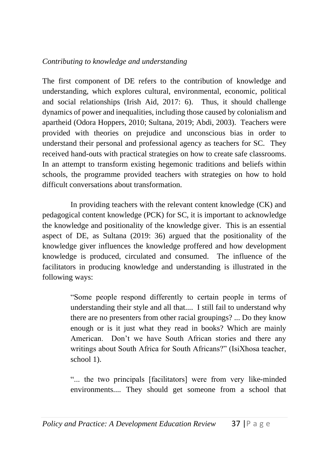#### *Contributing to knowledge and understanding*

The first component of DE refers to the contribution of knowledge and understanding, which explores cultural, environmental, economic, political and social relationships (Irish Aid, 2017: 6). Thus, it should challenge dynamics of power and inequalities, including those caused by colonialism and apartheid (Odora Hoppers, 2010; Sultana, 2019; Abdi, 2003). Teachers were provided with theories on prejudice and unconscious bias in order to understand their personal and professional agency as teachers for SC. They received hand-outs with practical strategies on how to create safe classrooms. In an attempt to transform existing hegemonic traditions and beliefs within schools, the programme provided teachers with strategies on how to hold difficult conversations about transformation.

In providing teachers with the relevant content knowledge (CK) and pedagogical content knowledge (PCK) for SC, it is important to acknowledge the knowledge and positionality of the knowledge giver. This is an essential aspect of DE, as Sultana (2019: 36) argued that the positionality of the knowledge giver influences the knowledge proffered and how development knowledge is produced, circulated and consumed. The influence of the facilitators in producing knowledge and understanding is illustrated in the following ways:

> "Some people respond differently to certain people in terms of understanding their style and all that.... I still fail to understand why there are no presenters from other racial groupings? ... Do they know enough or is it just what they read in books? Which are mainly American. Don't we have South African stories and there any writings about South Africa for South Africans?" (IsiXhosa teacher, school 1).

> "... the two principals [facilitators] were from very like-minded environments.... They should get someone from a school that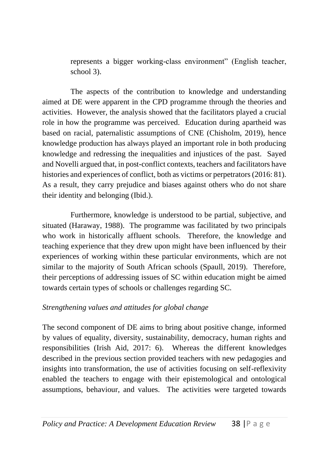represents a bigger working-class environment" (English teacher, school 3).

The aspects of the contribution to knowledge and understanding aimed at DE were apparent in the CPD programme through the theories and activities. However, the analysis showed that the facilitators played a crucial role in how the programme was perceived. Education during apartheid was based on racial, paternalistic assumptions of CNE (Chisholm, 2019), hence knowledge production has always played an important role in both producing knowledge and redressing the inequalities and injustices of the past. Sayed and Novelli argued that, in post-conflict contexts, teachers and facilitators have histories and experiences of conflict, both as victims or perpetrators (2016: 81). As a result, they carry prejudice and biases against others who do not share their identity and belonging (Ibid.).

Furthermore, knowledge is understood to be partial, subjective, and situated (Haraway, 1988). The programme was facilitated by two principals who work in historically affluent schools. Therefore, the knowledge and teaching experience that they drew upon might have been influenced by their experiences of working within these particular environments, which are not similar to the majority of South African schools (Spaull, 2019). Therefore, their perceptions of addressing issues of SC within education might be aimed towards certain types of schools or challenges regarding SC.

#### *Strengthening values and attitudes for global change*

The second component of DE aims to bring about positive change, informed by values of equality, diversity, sustainability, democracy, human rights and responsibilities (Irish Aid, 2017: 6). Whereas the different knowledges described in the previous section provided teachers with new pedagogies and insights into transformation, the use of activities focusing on self-reflexivity enabled the teachers to engage with their epistemological and ontological assumptions, behaviour, and values. The activities were targeted towards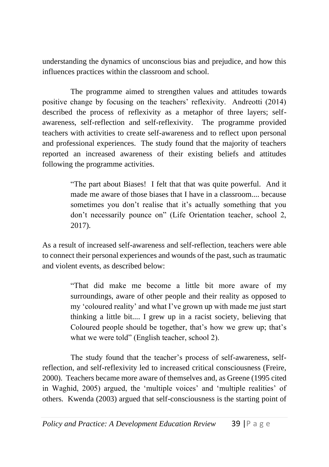understanding the dynamics of unconscious bias and prejudice, and how this influences practices within the classroom and school.

The programme aimed to strengthen values and attitudes towards positive change by focusing on the teachers' reflexivity. Andreotti (2014) described the process of reflexivity as a metaphor of three layers; selfawareness, self-reflection and self-reflexivity. The programme provided teachers with activities to create self-awareness and to reflect upon personal and professional experiences. The study found that the majority of teachers reported an increased awareness of their existing beliefs and attitudes following the programme activities.

> "The part about Biases! I felt that that was quite powerful. And it made me aware of those biases that I have in a classroom.... because sometimes you don't realise that it's actually something that you don't necessarily pounce on" (Life Orientation teacher, school 2, 2017).

As a result of increased self-awareness and self-reflection, teachers were able to connect their personal experiences and wounds of the past, such as traumatic and violent events, as described below:

> "That did make me become a little bit more aware of my surroundings, aware of other people and their reality as opposed to my 'coloured reality' and what I've grown up with made me just start thinking a little bit.... I grew up in a racist society, believing that Coloured people should be together, that's how we grew up; that's what we were told" (English teacher, school 2).

The study found that the teacher's process of self-awareness, selfreflection, and self-reflexivity led to increased critical consciousness (Freire, 2000). Teachers became more aware of themselves and, as Greene (1995 cited in Waghid, 2005) argued, the 'multiple voices' and 'multiple realities' of others. Kwenda (2003) argued that self-consciousness is the starting point of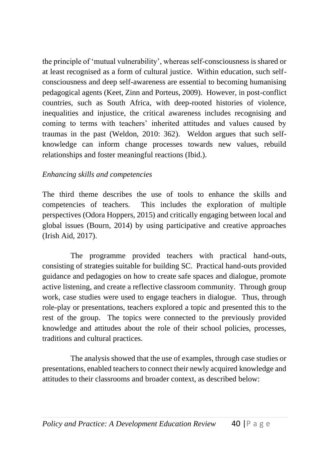the principle of 'mutual vulnerability', whereas self-consciousness is shared or at least recognised as a form of cultural justice. Within education, such selfconsciousness and deep self-awareness are essential to becoming humanising pedagogical agents (Keet, Zinn and Porteus, 2009). However, in post-conflict countries, such as South Africa, with deep-rooted histories of violence, inequalities and injustice, the critical awareness includes recognising and coming to terms with teachers' inherited attitudes and values caused by traumas in the past (Weldon, 2010: 362). Weldon argues that such selfknowledge can inform change processes towards new values, rebuild relationships and foster meaningful reactions (Ibid.).

#### *Enhancing skills and competencies*

The third theme describes the use of tools to enhance the skills and competencies of teachers. This includes the exploration of multiple perspectives (Odora Hoppers, 2015) and critically engaging between local and global issues (Bourn, 2014) by using participative and creative approaches (Irish Aid, 2017).

The programme provided teachers with practical hand-outs, consisting of strategies suitable for building SC. Practical hand-outs provided guidance and pedagogies on how to create safe spaces and dialogue, promote active listening, and create a reflective classroom community. Through group work, case studies were used to engage teachers in dialogue. Thus, through role-play or presentations, teachers explored a topic and presented this to the rest of the group. The topics were connected to the previously provided knowledge and attitudes about the role of their school policies, processes, traditions and cultural practices.

The analysis showed that the use of examples, through case studies or presentations, enabled teachers to connect their newly acquired knowledge and attitudes to their classrooms and broader context, as described below: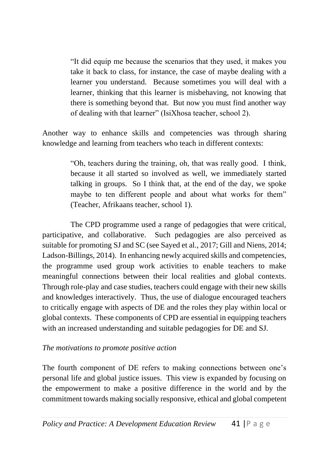"It did equip me because the scenarios that they used, it makes you take it back to class, for instance, the case of maybe dealing with a learner you understand. Because sometimes you will deal with a learner, thinking that this learner is misbehaving, not knowing that there is something beyond that. But now you must find another way of dealing with that learner" (IsiXhosa teacher, school 2).

Another way to enhance skills and competencies was through sharing knowledge and learning from teachers who teach in different contexts:

> "Oh, teachers during the training, oh, that was really good. I think, because it all started so involved as well, we immediately started talking in groups. So I think that, at the end of the day, we spoke maybe to ten different people and about what works for them" (Teacher, Afrikaans teacher, school 1).

The CPD programme used a range of pedagogies that were critical, participative, and collaborative. Such pedagogies are also perceived as suitable for promoting SJ and SC (see Sayed et al., 2017; Gill and Niens, 2014; Ladson-Billings, 2014). In enhancing newly acquired skills and competencies, the programme used group work activities to enable teachers to make meaningful connections between their local realities and global contexts. Through role-play and case studies, teachers could engage with their new skills and knowledges interactively. Thus, the use of dialogue encouraged teachers to critically engage with aspects of DE and the roles they play within local or global contexts. These components of CPD are essential in equipping teachers with an increased understanding and suitable pedagogies for DE and SJ.

#### *The motivations to promote positive action*

The fourth component of DE refers to making connections between one's personal life and global justice issues. This view is expanded by focusing on the empowerment to make a positive difference in the world and by the commitment towards making socially responsive, ethical and global competent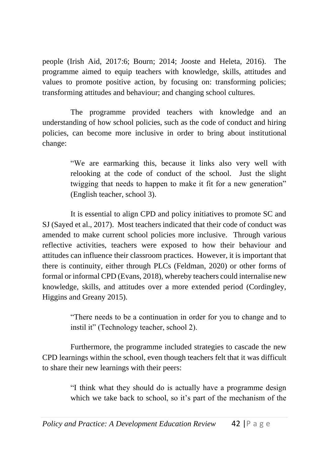people (Irish Aid, 2017:6; Bourn; 2014; Jooste and Heleta, 2016). The programme aimed to equip teachers with knowledge, skills, attitudes and values to promote positive action, by focusing on: transforming policies; transforming attitudes and behaviour; and changing school cultures.

The programme provided teachers with knowledge and an understanding of how school policies, such as the code of conduct and hiring policies, can become more inclusive in order to bring about institutional change:

> "We are earmarking this, because it links also very well with relooking at the code of conduct of the school. Just the slight twigging that needs to happen to make it fit for a new generation" (English teacher, school 3).

It is essential to align CPD and policy initiatives to promote SC and SJ (Sayed et al., 2017). Most teachers indicated that their code of conduct was amended to make current school policies more inclusive. Through various reflective activities, teachers were exposed to how their behaviour and attitudes can influence their classroom practices. However, it is important that there is continuity, either through PLCs (Feldman, 2020) or other forms of formal or informal CPD (Evans, 2018), whereby teachers could internalise new knowledge, skills, and attitudes over a more extended period (Cordingley, Higgins and Greany 2015).

> "There needs to be a continuation in order for you to change and to instil it" (Technology teacher, school 2).

Furthermore, the programme included strategies to cascade the new CPD learnings within the school, even though teachers felt that it was difficult to share their new learnings with their peers:

> "I think what they should do is actually have a programme design which we take back to school, so it's part of the mechanism of the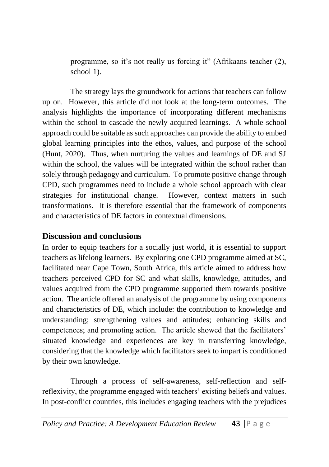programme, so it's not really us forcing it" (Afrikaans teacher (2), school 1).

The strategy lays the groundwork for actions that teachers can follow up on. However, this article did not look at the long-term outcomes. The analysis highlights the importance of incorporating different mechanisms within the school to cascade the newly acquired learnings. A whole-school approach could be suitable as such approaches can provide the ability to embed global learning principles into the ethos, values, and purpose of the school (Hunt, 2020). Thus, when nurturing the values and learnings of DE and SJ within the school, the values will be integrated within the school rather than solely through pedagogy and curriculum. To promote positive change through CPD, such programmes need to include a whole school approach with clear strategies for institutional change. However, context matters in such transformations. It is therefore essential that the framework of components and characteristics of DE factors in contextual dimensions.

#### **Discussion and conclusions**

In order to equip teachers for a socially just world, it is essential to support teachers as lifelong learners. By exploring one CPD programme aimed at SC, facilitated near Cape Town, South Africa, this article aimed to address how teachers perceived CPD for SC and what skills, knowledge, attitudes, and values acquired from the CPD programme supported them towards positive action. The article offered an analysis of the programme by using components and characteristics of DE, which include: the contribution to knowledge and understanding; strengthening values and attitudes; enhancing skills and competences; and promoting action. The article showed that the facilitators' situated knowledge and experiences are key in transferring knowledge, considering that the knowledge which facilitators seek to impart is conditioned by their own knowledge.

Through a process of self-awareness, self-reflection and selfreflexivity, the programme engaged with teachers' existing beliefs and values. In post-conflict countries, this includes engaging teachers with the prejudices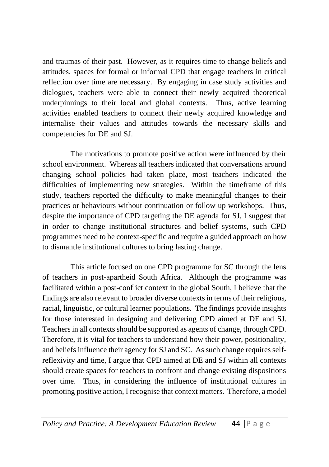and traumas of their past. However, as it requires time to change beliefs and attitudes, spaces for formal or informal CPD that engage teachers in critical reflection over time are necessary. By engaging in case study activities and dialogues, teachers were able to connect their newly acquired theoretical underpinnings to their local and global contexts. Thus, active learning activities enabled teachers to connect their newly acquired knowledge and internalise their values and attitudes towards the necessary skills and competencies for DE and SJ.

The motivations to promote positive action were influenced by their school environment. Whereas all teachers indicated that conversations around changing school policies had taken place, most teachers indicated the difficulties of implementing new strategies. Within the timeframe of this study, teachers reported the difficulty to make meaningful changes to their practices or behaviours without continuation or follow up workshops. Thus, despite the importance of CPD targeting the DE agenda for SJ, I suggest that in order to change institutional structures and belief systems, such CPD programmes need to be context-specific and require a guided approach on how to dismantle institutional cultures to bring lasting change.

This article focused on one CPD programme for SC through the lens of teachers in post-apartheid South Africa. Although the programme was facilitated within a post-conflict context in the global South, I believe that the findings are also relevant to broader diverse contexts in terms of their religious, racial, linguistic, or cultural learner populations. The findings provide insights for those interested in designing and delivering CPD aimed at DE and SJ. Teachers in all contexts should be supported as agents of change, through CPD. Therefore, it is vital for teachers to understand how their power, positionality, and beliefs influence their agency for SJ and SC. As such change requires selfreflexivity and time, I argue that CPD aimed at DE and SJ within all contexts should create spaces for teachers to confront and change existing dispositions over time. Thus, in considering the influence of institutional cultures in promoting positive action, I recognise that context matters. Therefore, a model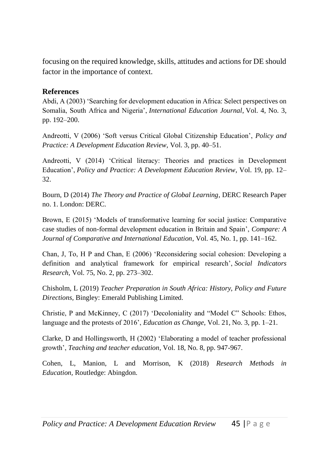focusing on the required knowledge, skills, attitudes and actions for DE should factor in the importance of context.

#### **References**

Abdi, A (2003) 'Searching for development education in Africa: Select perspectives on Somalia, South Africa and Nigeria', *International Education Journal*, Vol. 4, No. 3, pp. 192–200.

Andreotti, V (2006) 'Soft versus Critical Global Citizenship Education', *Policy and Practice: A Development Education Review,* Vol. 3, pp. 40–51.

Andreotti, V (2014) 'Critical literacy: Theories and practices in Development Education', *Policy and Practice: A Development Education Review*, Vol. 19, pp. 12– 32.

Bourn, D (2014) *The Theory and Practice of Global Learning*, DERC Research Paper no. 1. London: DERC.

Brown, E (2015) 'Models of transformative learning for social justice: Comparative case studies of non-formal development education in Britain and Spain', *Compare: A Journal of Comparative and International Education*, Vol. 45, No. 1, pp. 141–162.

Chan, J, To, H P and Chan, E (2006) 'Reconsidering social cohesion: Developing a definition and analytical framework for empirical research', *Social Indicators Research*, Vol. 75, No. 2, pp. 273–302.

Chisholm, L (2019) *Teacher Preparation in South Africa: History, Policy and Future Directions,* Bingley: Emerald Publishing Limited.

Christie, P and McKinney, C (2017) 'Decoloniality and "Model C" Schools: Ethos, language and the protests of 2016', *Education as Change*, Vol. 21, No. 3, pp. 1–21.

Clarke, D and Hollingsworth, H (2002) 'Elaborating a model of teacher professional growth', *Teaching and teacher education*, Vol. 18, No. 8, pp. 947-967.

Cohen, L, Manion, L and Morrison, K (2018) *Research Methods in Education,* Routledge: Abingdon.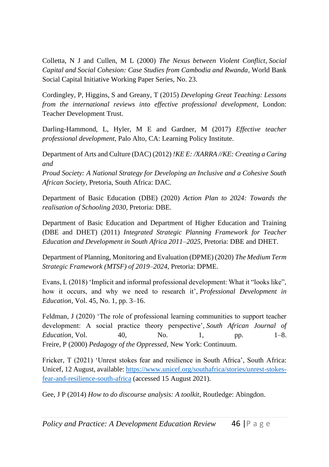Colletta, N J and Cullen, M L (2000) *The Nexus between Violent Conflict*, *Social Capital and Social Cohesion: Case Studies from Cambodia and Rwanda*, World Bank Social Capital Initiative Working Paper Series, No. 23.

Cordingley, P, Higgins, S and Greany, T (2015) *Developing Great Teaching: Lessons from the international reviews into effective professional development*, London: Teacher Development Trust.

Darling-Hammond, L, Hyler, M E and Gardner, M (2017) *Effective teacher professional development*, Palo Alto, CA: Learning Policy Institute.

Department of Arts and Culture (DAC) (2012) *!KE E: /XARRA //KE: Creating a Caring and* 

*Proud Society: A National Strategy for Developing an Inclusive and a Cohesive South African Society*, Pretoria, South Africa: DAC.

Department of Basic Education (DBE) (2020) *Action Plan to 2024: Towards the realisation of Schooling 2030*, Pretoria: DBE.

Department of Basic Education and Department of Higher Education and Training (DBE and DHET) (2011) *Integrated Strategic Planning Framework for Teacher Education and Development in South Africa 2011–2025*, Pretoria: DBE and DHET.

Department of Planning, Monitoring and Evaluation (DPME) (2020) *The Medium Term Strategic Framework (MTSF) of 2019–2024*, Pretoria: DPME.

Evans, L (2018) 'Implicit and informal professional development: What it "looks like", how it occurs, and why we need to research it', *Professional Development in Education*, Vol. 45, No. 1, pp. 3–16.

Feldman, J (2020) 'The role of professional learning communities to support teacher development: A social practice theory perspective', *South African Journal of Education*, Vol. 40, No. 1, pp. 1–8. Freire, P (2000) *Pedagogy of the Oppressed*, New York: Continuum.

Fricker, T (2021) 'Unrest stokes fear and resilience in South Africa', South Africa: Unicef, 12 August, available[: https://www.unicef.org/southafrica/stories/unrest-stokes](https://www.unicef.org/southafrica/stories/unrest-stokes-fear-and-resilience-south-africa)[fear-and-resilience-south-africa](https://www.unicef.org/southafrica/stories/unrest-stokes-fear-and-resilience-south-africa) (accessed 15 August 2021).

Gee, J P (2014) *How to do discourse analysis: A toolkit*, Routledge: Abingdon.

*Policy and Practice: A Development Education Review* 46 |P a g e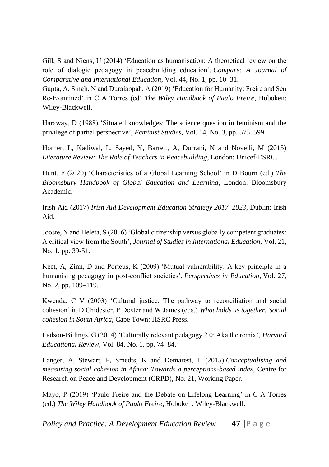Gill, S and Niens, U (2014) 'Education as humanisation: A theoretical review on the role of dialogic pedagogy in peacebuilding education', *Compare: A Journal of Comparative and International Education*, Vol. 44, No. 1, pp. 10–31.

Gupta, A, Singh, N and Duraiappah, A (2019) 'Education for Humanity: Freire and Sen Re‐Examined' in C A Torres (ed) *The Wiley Handbook of Paulo Freire*, Hoboken: Wiley-Blackwell.

Haraway, D (1988) 'Situated knowledges: The science question in feminism and the privilege of partial perspective', *Feminist Studies*, Vol. 14, No. 3, pp. 575–599.

Horner, L, Kadiwal, L, Sayed, Y, Barrett, A, Durrani, N and Novelli, M (2015) *Literature Review: The Role of Teachers in Peacebuilding*, London: Unicef-ESRC.

Hunt, F (2020) 'Characteristics of a Global Learning School' in D Bourn (ed.) *The Bloomsbury Handbook of Global Education and Learning*, London: Bloomsbury Academic.

Irish Aid (2017) *Irish Aid Development Education Strategy 2017–2023*, Dublin: Irish Aid.

Jooste, N and Heleta, S (2016) 'Global citizenship versus globally competent graduates: A critical view from the South', *Journal of Studies in International Education*, Vol. 21, No. 1, pp. 39-51.

Keet, A, Zinn, D and Porteus, K (2009) 'Mutual vulnerability: A key principle in a humanising pedagogy in post-conflict societies', *Perspectives in Education*, Vol. 27, No. 2, pp. 109–119.

Kwenda, C V (2003) 'Cultural justice: The pathway to reconciliation and social cohesion' in D Chidester, P Dexter and W James (eds.) *What holds us together: Social cohesion in South Africa*, Cape Town: HSRC Press.

Ladson-Billings, G (2014) 'Culturally relevant pedagogy 2.0: Aka the remix', *Harvard Educational Review*, Vol. 84, No. 1, pp. 74–84.

Langer, A, Stewart, F, Smedts, K and Demarest, L (2015) *Conceptualising and measuring social cohesion in Africa: Towards a perceptions-based index*, Centre for Research on Peace and Development (CRPD), No. 21, Working Paper.

Mayo, P (2019) 'Paulo Freire and the Debate on Lifelong Learning' in C A Torres (ed.) *The Wiley Handbook of Paulo Freire*, Hoboken: Wiley-Blackwell.

*Policy and Practice: A Development Education Review* 47 |P a g e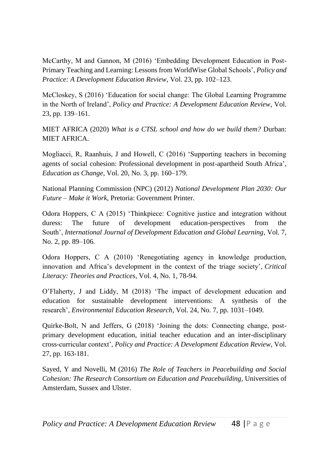McCarthy, M and Gannon, M (2016) 'Embedding Development Education in Post-Primary Teaching and Learning: Lessons from WorldWise Global Schools', *Policy and Practice: A Development Education Review*, Vol. 23, pp. 102–123.

McCloskey, S (2016) 'Education for social change: The Global Learning Programme in the North of Ireland', *Policy and Practice: A Development Education Review*, Vol. 23, pp. 139–161.

MIET AFRICA (2020) *What is a CTSL school and how do we build them?* Durban: MIET AFRICA.

Mogliacci, R, Raanhuis, J and Howell, C (2016) 'Supporting teachers in becoming agents of social cohesion: Professional development in post-apartheid South Africa', *Education as Change*, Vol. 20, No. 3, pp. 160–179.

National Planning Commission (NPC) (2012) *National Development Plan 2030: Our Future – Make it Work*, Pretoria: Government Printer.

Odora Hoppers, C A (2015) 'Thinkpiece: Cognitive justice and integration without duress: The future of development education-perspectives from the South', *International Journal of Development Education and Global Learning*, Vol. 7, No. 2, pp. 89–106.

Odora Hoppers, C A (2010) 'Renegotiating agency in knowledge production, innovation and Africa's development in the context of the triage society', *Critical Literacy: Theories and Practices*, Vol. 4, No*.* 1, 78-94.

O'Flaherty, J and Liddy, M (2018) 'The impact of development education and education for sustainable development interventions: A synthesis of the research', *Environmental Education Research*, Vol. 24, No. 7, pp. 1031–1049.

Quirke-Bolt, N and Jeffers, G (2018) 'Joining the dots: Connecting change, postprimary development education, initial teacher education and an inter-disciplinary cross-curricular context', *Policy and Practice: A Development Education Review*, Vol. 27, pp. 163-181.

Sayed, Y and Novelli, M (2016) *The Role of Teachers in Peacebuilding and Social Cohesion: The Research Consortium on Education and Peacebuilding,* Universities of Amsterdam, Sussex and Ulster.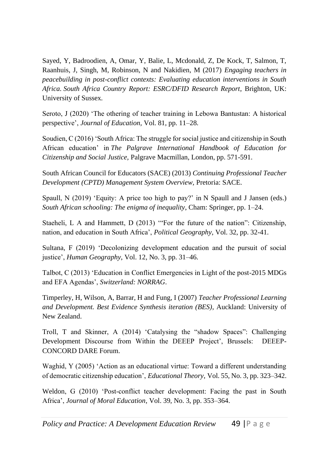Sayed, Y, Badroodien, A, Omar, Y, Balie, L, Mcdonald, Z, De Kock, T, Salmon, T, Raanhuis, J, Singh, M, Robinson, N and Nakidien, M (2017) *Engaging teachers in peacebuilding in post-conflict contexts: Evaluating education interventions in South Africa. South Africa Country Report: ESRC/DFID Research Report*, Brighton, UK: University of Sussex*.* 

Seroto, J (2020) 'The othering of teacher training in Lebowa Bantustan: A historical perspective', *Journal of Education,* Vol. 81, pp. 11–28.

Soudien, C (2016) 'South Africa: The struggle for social justice and citizenship in South African education' in *The Palgrave International Handbook of Education for Citizenship and Social Justice,* Palgrave Macmillan, London, pp. 571-591.

South African Council for Educators (SACE) (2013) *Continuing Professional Teacher Development (CPTD) Management System Overview,* Pretoria: SACE.

Spaull, N (2019) 'Equity: A price too high to pay?' in N Spaull and J Jansen (eds.) *South African schooling: The enigma of inequality*, Cham: Springer, pp. 1–24.

Staeheli, L A and Hammett, D (2013) '"For the future of the nation": Citizenship, nation, and education in South Africa', *Political Geography*, Vol. 32, pp. 32-41.

Sultana, F (2019) 'Decolonizing development education and the pursuit of social justice', *Human Geography*, Vol. 12, No. 3, pp. 31–46.

Talbot, C (2013) 'Education in Conflict Emergencies in Light of the post-2015 MDGs and EFA Agendas', *Switzerland: NORRAG*.

Timperley, H, Wilson, A, Barrar, H and Fung, I (2007) *Teacher Professional Learning and Development. Best Evidence Synthesis iteration (BES)*, Auckland: University of New Zealand.

Troll, T and Skinner, A (2014) 'Catalysing the "shadow Spaces": Challenging Development Discourse from Within the DEEEP Project', Brussels: DEEEP-CONCORD DARE Forum.

Waghid, Y (2005) 'Action as an educational virtue: Toward a different understanding of democratic citizenship education', *Educational Theory*, Vol. 55, No. 3, pp. 323–342.

Weldon, G (2010) 'Post-conflict teacher development: Facing the past in South Africa', *Journal of Moral Education*, Vol. 39, No. 3, pp. 353–364.

*Policy and Practice: A Development Education Review* 49 |P a g e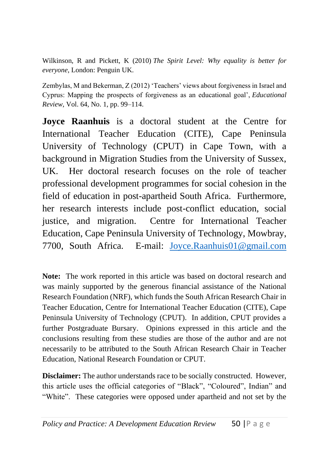Wilkinson, R and Pickett, K (2010) *The Spirit Level: Why equality is better for everyone*, London: Penguin UK.

Zembylas, M and Bekerman, Z (2012) 'Teachers' views about forgiveness in Israel and Cyprus: Mapping the prospects of forgiveness as an educational goal', *Educational Review*, Vol. 64, No. 1, pp. 99–114.

**Joyce Raanhuis** is a doctoral student at the Centre for International Teacher Education (CITE), Cape Peninsula University of Technology (CPUT) in Cape Town, with a background in Migration Studies from the University of Sussex, UK. Her doctoral research focuses on the role of teacher professional development programmes for social cohesion in the field of education in post-apartheid South Africa. Furthermore, her research interests include post-conflict education, social justice, and migration. Centre for International Teacher Education, Cape Peninsula University of Technology, Mowbray, 7700, South Africa. E-mail: [Joyce.Raanhuis01@gmail.com](mailto:Joyce.Raanhuis01@gmail.com)

**Note:** The work reported in this article was based on doctoral research and was mainly supported by the generous financial assistance of the National Research Foundation (NRF), which funds the South African Research Chair in Teacher Education, Centre for International Teacher Education (CITE), Cape Peninsula University of Technology (CPUT). In addition, CPUT provides a further Postgraduate Bursary. Opinions expressed in this article and the conclusions resulting from these studies are those of the author and are not necessarily to be attributed to the South African Research Chair in Teacher Education, National Research Foundation or CPUT.

**Disclaimer:** The author understands race to be socially constructed. However, this article uses the official categories of "Black", "Coloured", Indian" and "White". These categories were opposed under apartheid and not set by the